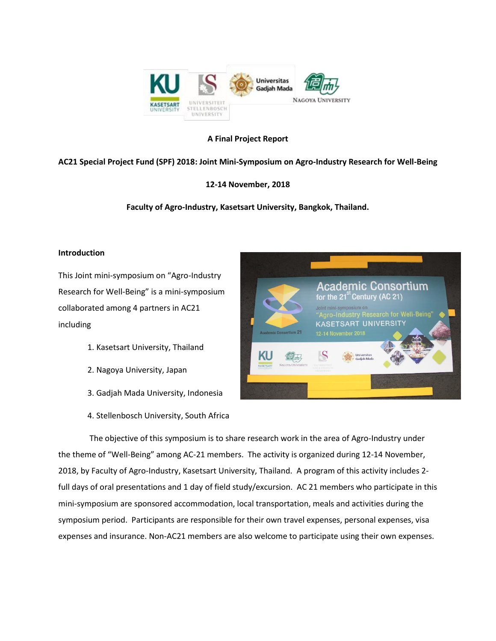

## **A Final Project Report**

**AC21 Special Project Fund (SPF) 2018: Joint Mini-Symposium on Agro-Industry Research for Well-Being**

# **12-14 November, 2018**

**Faculty of Agro-Industry, Kasetsart University, Bangkok, Thailand.**

### **Introduction**

This Joint mini-symposium on "Agro-Industry Research for Well-Being" is a mini-symposium collaborated among 4 partners in AC21 including

- 1. Kasetsart University, Thailand
- 2. Nagoya University, Japan
- 3. Gadjah Mada University, Indonesia
- 4. Stellenbosch University, South Africa



The objective of this symposium is to share research work in the area of Agro-Industry under the theme of "Well-Being" among AC-21 members. The activity is organized during 12-14 November, 2018, by Faculty of Agro-Industry, Kasetsart University, Thailand. A program of this activity includes 2 full days of oral presentations and 1 day of field study/excursion. AC 21 members who participate in this mini-symposium are sponsored accommodation, local transportation, meals and activities during the symposium period. Participants are responsible for their own travel expenses, personal expenses, visa expenses and insurance. Non-AC21 members are also welcome to participate using their own expenses.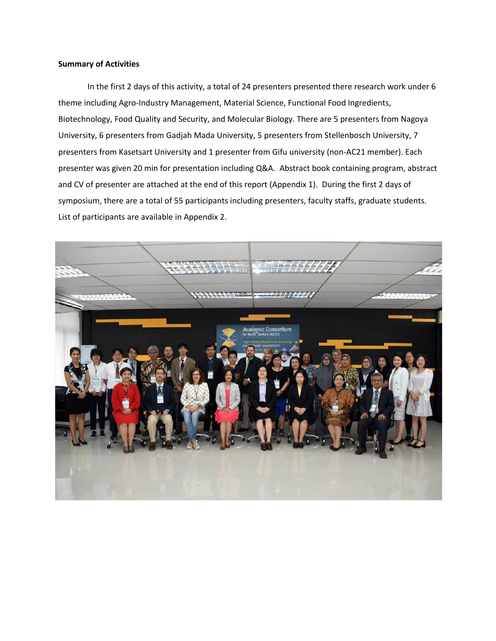#### **Summary of Activities**

In the first 2 days of this activity, a total of 24 presenters presented there research work under 6 theme including Agro-Industry Management, Material Science, Functional Food Ingredients, Biotechnology, Food Quality and Security, and Molecular Biology. There are 5 presenters from Nagoya University, 6 presenters from Gadjah Mada University, 5 presenters from Stellenbosch University, 7 presenters from Kasetsart University and 1 presenter from Gifu university (non-AC21 member). Each presenter was given 20 min for presentation including Q&A. Abstract book containing program, abstract and CV of presenter are attached at the end of this report (Appendix 1). During the first 2 days of symposium, there are a total of 55 participants including presenters, faculty staffs, graduate students. List of participants are available in Appendix 2.

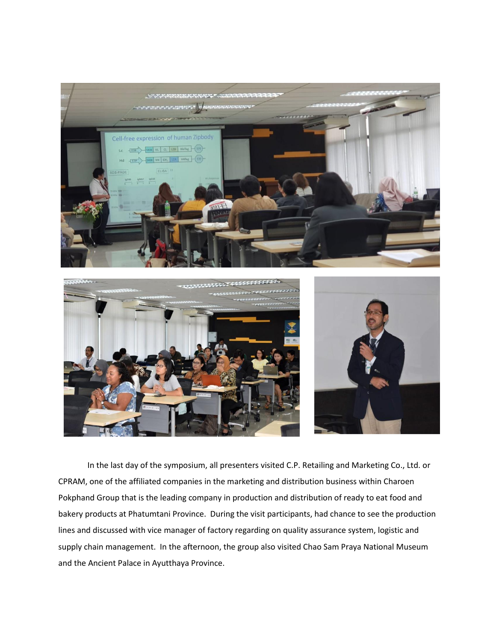



In the last day of the symposium, all presenters visited C.P. Retailing and Marketing Co., Ltd. or CPRAM, one of the affiliated companies in the marketing and distribution business within Charoen Pokphand Group that is the leading company in production and distribution of ready to eat food and bakery products at Phatumtani Province. During the visit participants, had chance to see the production lines and discussed with vice manager of factory regarding on quality assurance system, logistic and supply chain management. In the afternoon, the group also visited Chao Sam Praya National Museum and the Ancient Palace in Ayutthaya Province.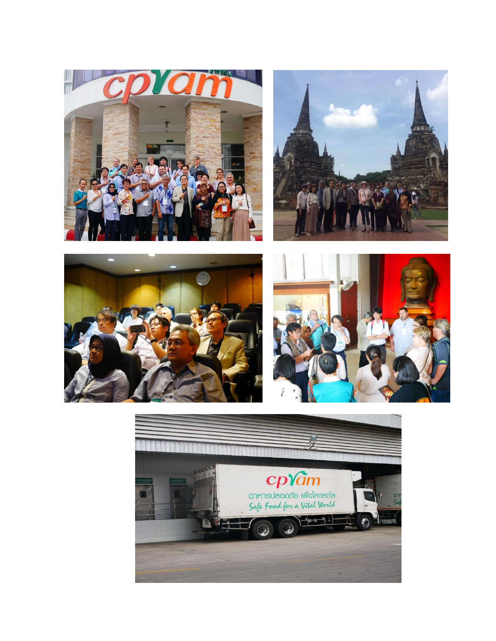